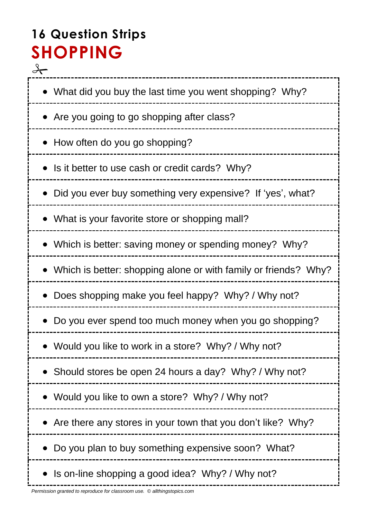# **16 Question Strips SHOPPING**

 $\frac{1}{\sqrt{2}}$ • What did you buy the last time you went shopping? Why? • Are you going to go shopping after class? • How often do you go shopping? • Is it better to use cash or credit cards? Why? Did you ever buy something very expensive? If 'yes', what? What is your favorite store or shopping mall? • Which is better: saving money or spending money? Why? Which is better: shopping alone or with family or friends? Why? Does shopping make you feel happy? Why? / Why not? Do you ever spend too much money when you go shopping? Would you like to work in a store? Why? / Why not? • Should stores be open 24 hours a day? Why? / Why not? Would you like to own a store? Why? / Why not? • Are there any stores in your town that you don't like? Why? • Do you plan to buy something expensive soon? What? • Is on-line shopping a good idea? Why? / Why not?